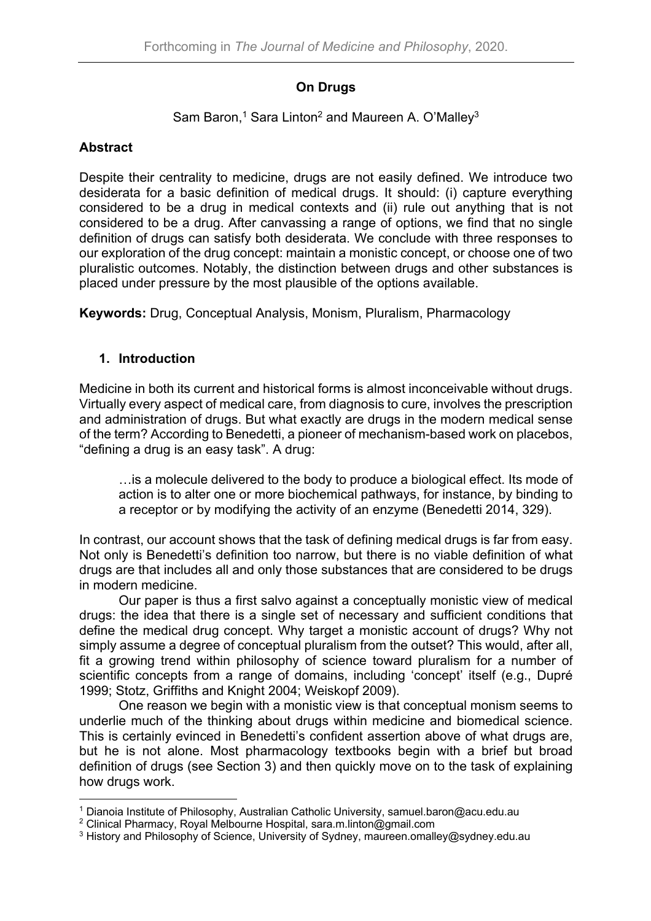## **On Drugs**

# Sam Baron,<sup>1</sup> Sara Linton<sup>2</sup> and Maureen A. O'Malley<sup>3</sup>

### **Abstract**

Despite their centrality to medicine, drugs are not easily defined. We introduce two desiderata for a basic definition of medical drugs. It should: (i) capture everything considered to be a drug in medical contexts and (ii) rule out anything that is not considered to be a drug. After canvassing a range of options, we find that no single definition of drugs can satisfy both desiderata. We conclude with three responses to our exploration of the drug concept: maintain a monistic concept, or choose one of two pluralistic outcomes. Notably, the distinction between drugs and other substances is placed under pressure by the most plausible of the options available.

**Keywords:** Drug, Conceptual Analysis, Monism, Pluralism, Pharmacology

### **1. Introduction**

Medicine in both its current and historical forms is almost inconceivable without drugs. Virtually every aspect of medical care, from diagnosis to cure, involves the prescription and administration of drugs. But what exactly are drugs in the modern medical sense of the term? According to Benedetti, a pioneer of mechanism-based work on placebos, "defining a drug is an easy task". A drug:

…is a molecule delivered to the body to produce a biological effect. Its mode of action is to alter one or more biochemical pathways, for instance, by binding to a receptor or by modifying the activity of an enzyme (Benedetti 2014, 329).

In contrast, our account shows that the task of defining medical drugs is far from easy. Not only is Benedetti's definition too narrow, but there is no viable definition of what drugs are that includes all and only those substances that are considered to be drugs in modern medicine.

Our paper is thus a first salvo against a conceptually monistic view of medical drugs: the idea that there is a single set of necessary and sufficient conditions that define the medical drug concept. Why target a monistic account of drugs? Why not simply assume a degree of conceptual pluralism from the outset? This would, after all, fit a growing trend within philosophy of science toward pluralism for a number of scientific concepts from a range of domains, including 'concept' itself (e.g., Dupré 1999; Stotz, Griffiths and Knight 2004; Weiskopf 2009).

One reason we begin with a monistic view is that conceptual monism seems to underlie much of the thinking about drugs within medicine and biomedical science. This is certainly evinced in Benedetti's confident assertion above of what drugs are, but he is not alone. Most pharmacology textbooks begin with a brief but broad definition of drugs (see Section 3) and then quickly move on to the task of explaining how drugs work.

<sup>1</sup> Dianoia Institute of Philosophy, Australian Catholic University, samuel.baron@acu.edu.au

<sup>&</sup>lt;sup>2</sup> Clinical Pharmacy, Royal Melbourne Hospital, sara.m.linton@gmail.com

<sup>&</sup>lt;sup>3</sup> History and Philosophy of Science, University of Sydney, maureen.omalley@sydney.edu.au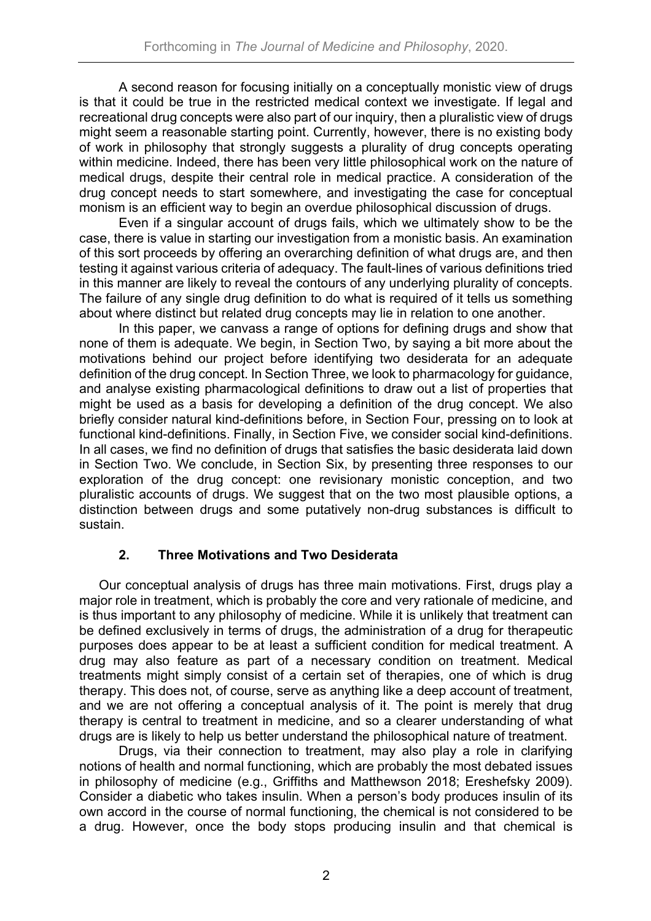A second reason for focusing initially on a conceptually monistic view of drugs is that it could be true in the restricted medical context we investigate. If legal and recreational drug concepts were also part of our inquiry, then a pluralistic view of drugs might seem a reasonable starting point. Currently, however, there is no existing body of work in philosophy that strongly suggests a plurality of drug concepts operating within medicine. Indeed, there has been very little philosophical work on the nature of medical drugs, despite their central role in medical practice. A consideration of the drug concept needs to start somewhere, and investigating the case for conceptual monism is an efficient way to begin an overdue philosophical discussion of drugs.

Even if a singular account of drugs fails, which we ultimately show to be the case, there is value in starting our investigation from a monistic basis. An examination of this sort proceeds by offering an overarching definition of what drugs are, and then testing it against various criteria of adequacy. The fault-lines of various definitions tried in this manner are likely to reveal the contours of any underlying plurality of concepts. The failure of any single drug definition to do what is required of it tells us something about where distinct but related drug concepts may lie in relation to one another.

In this paper, we canvass a range of options for defining drugs and show that none of them is adequate. We begin, in Section Two, by saying a bit more about the motivations behind our project before identifying two desiderata for an adequate definition of the drug concept. In Section Three, we look to pharmacology for guidance, and analyse existing pharmacological definitions to draw out a list of properties that might be used as a basis for developing a definition of the drug concept. We also briefly consider natural kind-definitions before, in Section Four, pressing on to look at functional kind-definitions. Finally, in Section Five, we consider social kind-definitions. In all cases, we find no definition of drugs that satisfies the basic desiderata laid down in Section Two. We conclude, in Section Six, by presenting three responses to our exploration of the drug concept: one revisionary monistic conception, and two pluralistic accounts of drugs. We suggest that on the two most plausible options, a distinction between drugs and some putatively non-drug substances is difficult to sustain.

## **2. Three Motivations and Two Desiderata**

Our conceptual analysis of drugs has three main motivations. First, drugs play a major role in treatment, which is probably the core and very rationale of medicine, and is thus important to any philosophy of medicine. While it is unlikely that treatment can be defined exclusively in terms of drugs, the administration of a drug for therapeutic purposes does appear to be at least a sufficient condition for medical treatment. A drug may also feature as part of a necessary condition on treatment. Medical treatments might simply consist of a certain set of therapies, one of which is drug therapy. This does not, of course, serve as anything like a deep account of treatment, and we are not offering a conceptual analysis of it. The point is merely that drug therapy is central to treatment in medicine, and so a clearer understanding of what drugs are is likely to help us better understand the philosophical nature of treatment.

Drugs, via their connection to treatment, may also play a role in clarifying notions of health and normal functioning, which are probably the most debated issues in philosophy of medicine (e.g., Griffiths and Matthewson 2018; Ereshefsky 2009). Consider a diabetic who takes insulin. When a person's body produces insulin of its own accord in the course of normal functioning, the chemical is not considered to be a drug. However, once the body stops producing insulin and that chemical is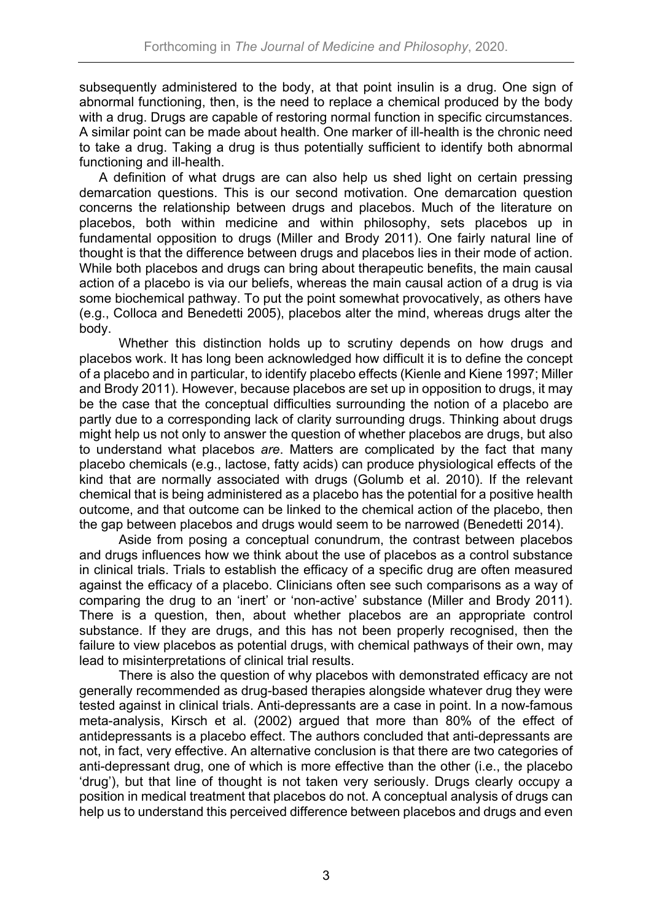subsequently administered to the body, at that point insulin is a drug. One sign of abnormal functioning, then, is the need to replace a chemical produced by the body with a drug. Drugs are capable of restoring normal function in specific circumstances. A similar point can be made about health. One marker of ill-health is the chronic need to take a drug. Taking a drug is thus potentially sufficient to identify both abnormal functioning and ill-health.

A definition of what drugs are can also help us shed light on certain pressing demarcation questions. This is our second motivation. One demarcation question concerns the relationship between drugs and placebos. Much of the literature on placebos, both within medicine and within philosophy, sets placebos up in fundamental opposition to drugs (Miller and Brody 2011). One fairly natural line of thought is that the difference between drugs and placebos lies in their mode of action. While both placebos and drugs can bring about therapeutic benefits, the main causal action of a placebo is via our beliefs, whereas the main causal action of a drug is via some biochemical pathway. To put the point somewhat provocatively, as others have (e.g., Colloca and Benedetti 2005), placebos alter the mind, whereas drugs alter the body.

Whether this distinction holds up to scrutiny depends on how drugs and placebos work. It has long been acknowledged how difficult it is to define the concept of a placebo and in particular, to identify placebo effects (Kienle and Kiene 1997; Miller and Brody 2011). However, because placebos are set up in opposition to drugs, it may be the case that the conceptual difficulties surrounding the notion of a placebo are partly due to a corresponding lack of clarity surrounding drugs. Thinking about drugs might help us not only to answer the question of whether placebos are drugs, but also to understand what placebos *are*. Matters are complicated by the fact that many placebo chemicals (e.g., lactose, fatty acids) can produce physiological effects of the kind that are normally associated with drugs (Golumb et al. 2010). If the relevant chemical that is being administered as a placebo has the potential for a positive health outcome, and that outcome can be linked to the chemical action of the placebo, then the gap between placebos and drugs would seem to be narrowed (Benedetti 2014).

Aside from posing a conceptual conundrum, the contrast between placebos and drugs influences how we think about the use of placebos as a control substance in clinical trials. Trials to establish the efficacy of a specific drug are often measured against the efficacy of a placebo. Clinicians often see such comparisons as a way of comparing the drug to an 'inert' or 'non-active' substance (Miller and Brody 2011). There is a question, then, about whether placebos are an appropriate control substance. If they are drugs, and this has not been properly recognised, then the failure to view placebos as potential drugs, with chemical pathways of their own, may lead to misinterpretations of clinical trial results.

There is also the question of why placebos with demonstrated efficacy are not generally recommended as drug-based therapies alongside whatever drug they were tested against in clinical trials. Anti-depressants are a case in point. In a now-famous meta-analysis, Kirsch et al. (2002) argued that more than 80% of the effect of antidepressants is a placebo effect. The authors concluded that anti-depressants are not, in fact, very effective. An alternative conclusion is that there are two categories of anti-depressant drug, one of which is more effective than the other (i.e., the placebo 'drug'), but that line of thought is not taken very seriously. Drugs clearly occupy a position in medical treatment that placebos do not. A conceptual analysis of drugs can help us to understand this perceived difference between placebos and drugs and even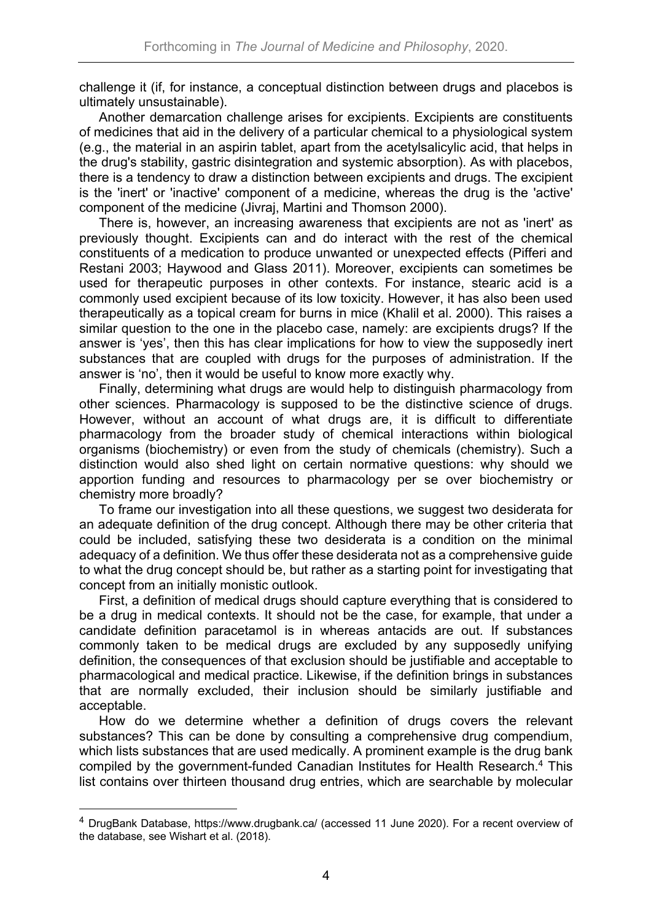challenge it (if, for instance, a conceptual distinction between drugs and placebos is ultimately unsustainable).

Another demarcation challenge arises for excipients. Excipients are constituents of medicines that aid in the delivery of a particular chemical to a physiological system (e.g., the material in an aspirin tablet, apart from the acetylsalicylic acid, that helps in the drug's stability, gastric disintegration and systemic absorption). As with placebos, there is a tendency to draw a distinction between excipients and drugs. The excipient is the 'inert' or 'inactive' component of a medicine, whereas the drug is the 'active' component of the medicine (Jivraj, Martini and Thomson 2000).

There is, however, an increasing awareness that excipients are not as 'inert' as previously thought. Excipients can and do interact with the rest of the chemical constituents of a medication to produce unwanted or unexpected effects (Pifferi and Restani 2003; Haywood and Glass 2011). Moreover, excipients can sometimes be used for therapeutic purposes in other contexts. For instance, stearic acid is a commonly used excipient because of its low toxicity. However, it has also been used therapeutically as a topical cream for burns in mice (Khalil et al. 2000). This raises a similar question to the one in the placebo case, namely: are excipients drugs? If the answer is 'yes', then this has clear implications for how to view the supposedly inert substances that are coupled with drugs for the purposes of administration. If the answer is 'no', then it would be useful to know more exactly why.

Finally, determining what drugs are would help to distinguish pharmacology from other sciences. Pharmacology is supposed to be the distinctive science of drugs. However, without an account of what drugs are, it is difficult to differentiate pharmacology from the broader study of chemical interactions within biological organisms (biochemistry) or even from the study of chemicals (chemistry). Such a distinction would also shed light on certain normative questions: why should we apportion funding and resources to pharmacology per se over biochemistry or chemistry more broadly?

To frame our investigation into all these questions, we suggest two desiderata for an adequate definition of the drug concept. Although there may be other criteria that could be included, satisfying these two desiderata is a condition on the minimal adequacy of a definition. We thus offer these desiderata not as a comprehensive guide to what the drug concept should be, but rather as a starting point for investigating that concept from an initially monistic outlook.

First, a definition of medical drugs should capture everything that is considered to be a drug in medical contexts. It should not be the case, for example, that under a candidate definition paracetamol is in whereas antacids are out. If substances commonly taken to be medical drugs are excluded by any supposedly unifying definition, the consequences of that exclusion should be justifiable and acceptable to pharmacological and medical practice. Likewise, if the definition brings in substances that are normally excluded, their inclusion should be similarly justifiable and acceptable.

How do we determine whether a definition of drugs covers the relevant substances? This can be done by consulting a comprehensive drug compendium, which lists substances that are used medically. A prominent example is the drug bank compiled by the government-funded Canadian Institutes for Health Research.<sup>4</sup> This list contains over thirteen thousand drug entries, which are searchable by molecular

<sup>4</sup> DrugBank Database, https://www.drugbank.ca/ (accessed 11 June 2020). For a recent overview of the database, see Wishart et al. (2018).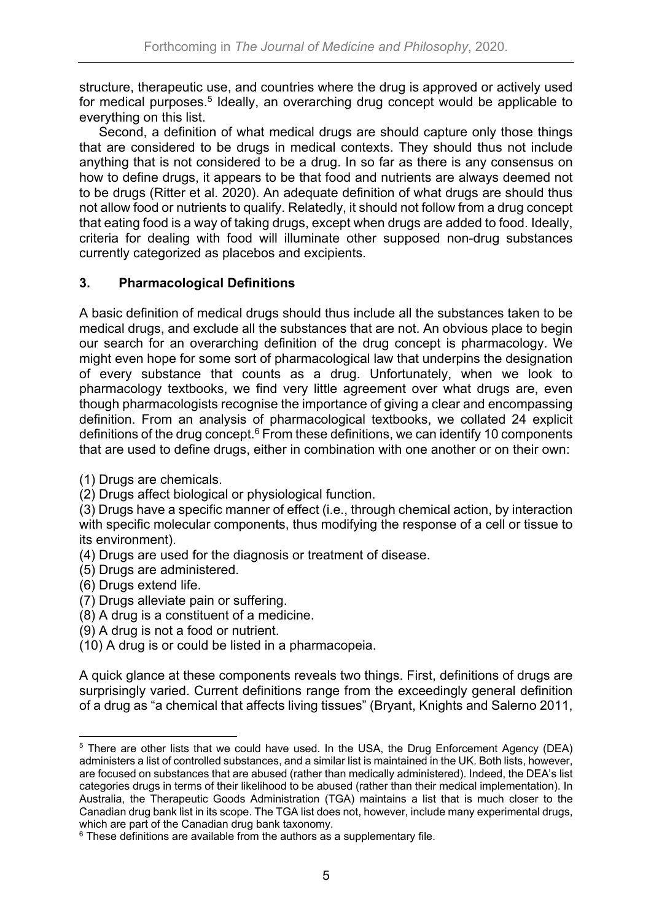structure, therapeutic use, and countries where the drug is approved or actively used for medical purposes.<sup>5</sup> Ideally, an overarching drug concept would be applicable to everything on this list.

Second, a definition of what medical drugs are should capture only those things that are considered to be drugs in medical contexts. They should thus not include anything that is not considered to be a drug. In so far as there is any consensus on how to define drugs, it appears to be that food and nutrients are always deemed not to be drugs (Ritter et al. 2020). An adequate definition of what drugs are should thus not allow food or nutrients to qualify. Relatedly, it should not follow from a drug concept that eating food is a way of taking drugs, except when drugs are added to food. Ideally, criteria for dealing with food will illuminate other supposed non-drug substances currently categorized as placebos and excipients.

## **3. Pharmacological Definitions**

A basic definition of medical drugs should thus include all the substances taken to be medical drugs, and exclude all the substances that are not. An obvious place to begin our search for an overarching definition of the drug concept is pharmacology. We might even hope for some sort of pharmacological law that underpins the designation of every substance that counts as a drug. Unfortunately, when we look to pharmacology textbooks, we find very little agreement over what drugs are, even though pharmacologists recognise the importance of giving a clear and encompassing definition. From an analysis of pharmacological textbooks, we collated 24 explicit definitions of the drug concept.<sup>6</sup> From these definitions, we can identify 10 components that are used to define drugs, either in combination with one another or on their own:

(1) Drugs are chemicals.

(2) Drugs affect biological or physiological function.

(3) Drugs have a specific manner of effect (i.e., through chemical action, by interaction with specific molecular components, thus modifying the response of a cell or tissue to its environment).

- (4) Drugs are used for the diagnosis or treatment of disease.
- (5) Drugs are administered.
- (6) Drugs extend life.
- (7) Drugs alleviate pain or suffering.
- (8) A drug is a constituent of a medicine.
- (9) A drug is not a food or nutrient.

(10) A drug is or could be listed in a pharmacopeia.

A quick glance at these components reveals two things. First, definitions of drugs are surprisingly varied. Current definitions range from the exceedingly general definition of a drug as "a chemical that affects living tissues" (Bryant, Knights and Salerno 2011,

<sup>&</sup>lt;sup>5</sup> There are other lists that we could have used. In the USA, the Drug Enforcement Agency (DEA) administers a list of controlled substances, and a similar list is maintained in the UK. Both lists, however, are focused on substances that are abused (rather than medically administered). Indeed, the DEA's list categories drugs in terms of their likelihood to be abused (rather than their medical implementation). In Australia, the Therapeutic Goods Administration (TGA) maintains a list that is much closer to the Canadian drug bank list in its scope. The TGA list does not, however, include many experimental drugs, which are part of the Canadian drug bank taxonomy.

 $6$  These definitions are available from the authors as a supplementary file.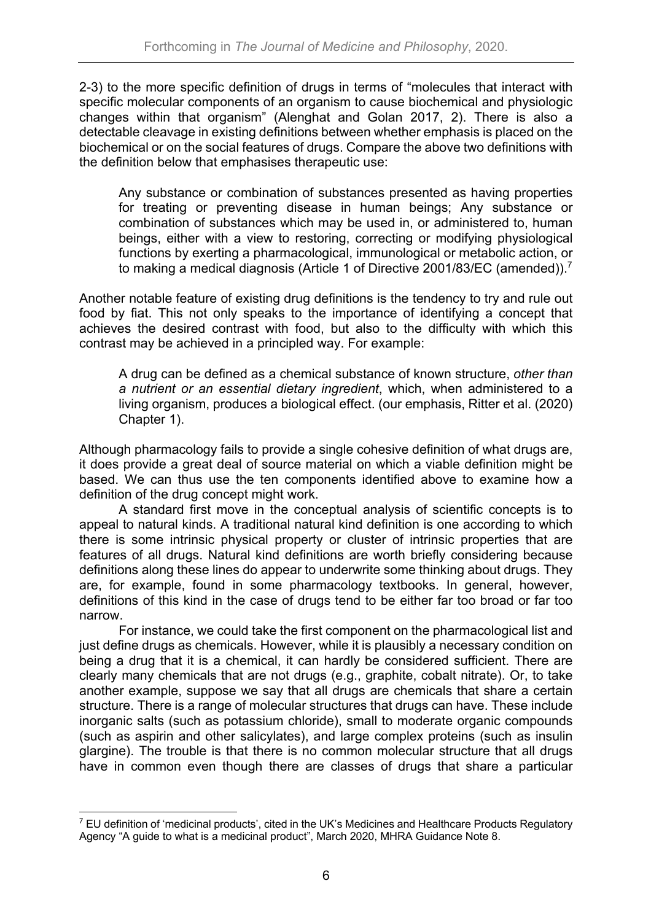2-3) to the more specific definition of drugs in terms of "molecules that interact with specific molecular components of an organism to cause biochemical and physiologic changes within that organism" (Alenghat and Golan 2017, 2). There is also a detectable cleavage in existing definitions between whether emphasis is placed on the biochemical or on the social features of drugs. Compare the above two definitions with the definition below that emphasises therapeutic use:

Any substance or combination of substances presented as having properties for treating or preventing disease in human beings; Any substance or combination of substances which may be used in, or administered to, human beings, either with a view to restoring, correcting or modifying physiological functions by exerting a pharmacological, immunological or metabolic action, or to making a medical diagnosis (Article 1 of Directive 2001/83/EC (amended)).<sup>7</sup>

Another notable feature of existing drug definitions is the tendency to try and rule out food by fiat. This not only speaks to the importance of identifying a concept that achieves the desired contrast with food, but also to the difficulty with which this contrast may be achieved in a principled way. For example:

A drug can be defined as a chemical substance of known structure, *other than a nutrient or an essential dietary ingredient*, which, when administered to a living organism, produces a biological effect. (our emphasis, Ritter et al. (2020) Chapter 1).

Although pharmacology fails to provide a single cohesive definition of what drugs are, it does provide a great deal of source material on which a viable definition might be based. We can thus use the ten components identified above to examine how a definition of the drug concept might work.

A standard first move in the conceptual analysis of scientific concepts is to appeal to natural kinds. A traditional natural kind definition is one according to which there is some intrinsic physical property or cluster of intrinsic properties that are features of all drugs. Natural kind definitions are worth briefly considering because definitions along these lines do appear to underwrite some thinking about drugs. They are, for example, found in some pharmacology textbooks. In general, however, definitions of this kind in the case of drugs tend to be either far too broad or far too narrow.

For instance, we could take the first component on the pharmacological list and just define drugs as chemicals. However, while it is plausibly a necessary condition on being a drug that it is a chemical, it can hardly be considered sufficient. There are clearly many chemicals that are not drugs (e.g., graphite, cobalt nitrate). Or, to take another example, suppose we say that all drugs are chemicals that share a certain structure. There is a range of molecular structures that drugs can have. These include inorganic salts (such as potassium chloride), small to moderate organic compounds (such as aspirin and other salicylates), and large complex proteins (such as insulin glargine). The trouble is that there is no common molecular structure that all drugs have in common even though there are classes of drugs that share a particular

 $^7$  EU definition of 'medicinal products', cited in the UK's Medicines and Healthcare Products Regulatory Agency "A guide to what is a medicinal product", March 2020, MHRA Guidance Note 8.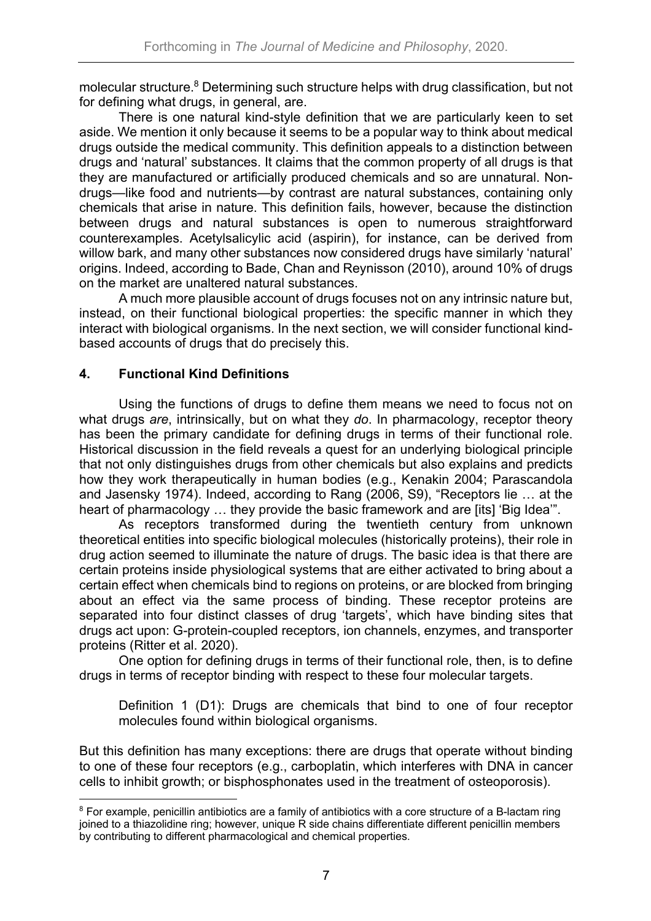molecular structure.<sup>8</sup> Determining such structure helps with drug classification, but not for defining what drugs, in general, are.

There is one natural kind-style definition that we are particularly keen to set aside. We mention it only because it seems to be a popular way to think about medical drugs outside the medical community. This definition appeals to a distinction between drugs and 'natural' substances. It claims that the common property of all drugs is that they are manufactured or artificially produced chemicals and so are unnatural. Nondrugs—like food and nutrients—by contrast are natural substances, containing only chemicals that arise in nature. This definition fails, however, because the distinction between drugs and natural substances is open to numerous straightforward counterexamples. Acetylsalicylic acid (aspirin), for instance, can be derived from willow bark, and many other substances now considered drugs have similarly 'natural' origins. Indeed, according to Bade, Chan and Reynisson (2010), around 10% of drugs on the market are unaltered natural substances.

A much more plausible account of drugs focuses not on any intrinsic nature but, instead, on their functional biological properties: the specific manner in which they interact with biological organisms. In the next section, we will consider functional kindbased accounts of drugs that do precisely this.

### **4. Functional Kind Definitions**

Using the functions of drugs to define them means we need to focus not on what drugs *are*, intrinsically, but on what they *do*. In pharmacology, receptor theory has been the primary candidate for defining drugs in terms of their functional role. Historical discussion in the field reveals a quest for an underlying biological principle that not only distinguishes drugs from other chemicals but also explains and predicts how they work therapeutically in human bodies (e.g., Kenakin 2004; Parascandola and Jasensky 1974). Indeed, according to Rang (2006, S9), "Receptors lie … at the heart of pharmacology … they provide the basic framework and are [its] 'Big Idea'".

As receptors transformed during the twentieth century from unknown theoretical entities into specific biological molecules (historically proteins), their role in drug action seemed to illuminate the nature of drugs. The basic idea is that there are certain proteins inside physiological systems that are either activated to bring about a certain effect when chemicals bind to regions on proteins, or are blocked from bringing about an effect via the same process of binding. These receptor proteins are separated into four distinct classes of drug 'targets', which have binding sites that drugs act upon: G-protein-coupled receptors, ion channels, enzymes, and transporter proteins (Ritter et al. 2020).

One option for defining drugs in terms of their functional role, then, is to define drugs in terms of receptor binding with respect to these four molecular targets.

Definition 1 (D1): Drugs are chemicals that bind to one of four receptor molecules found within biological organisms.

But this definition has many exceptions: there are drugs that operate without binding to one of these four receptors (e.g., carboplatin, which interferes with DNA in cancer cells to inhibit growth; or bisphosphonates used in the treatment of osteoporosis).

<sup>&</sup>lt;sup>8</sup> For example, penicillin antibiotics are a family of antibiotics with a core structure of a B-lactam ring joined to a thiazolidine ring; however, unique R side chains differentiate different penicillin members by contributing to different pharmacological and chemical properties.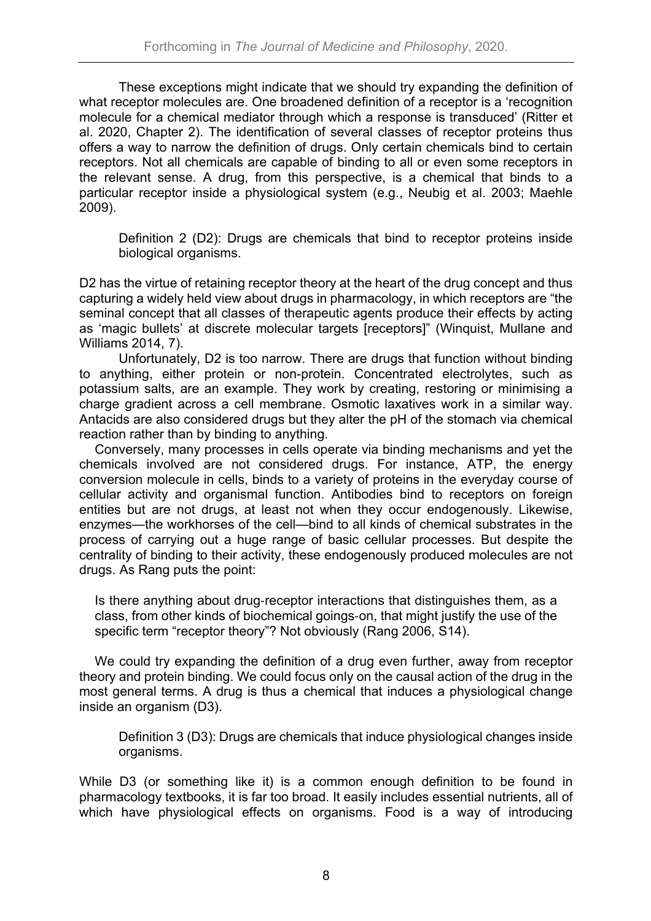These exceptions might indicate that we should try expanding the definition of what receptor molecules are. One broadened definition of a receptor is a 'recognition molecule for a chemical mediator through which a response is transduced' (Ritter et al. 2020, Chapter 2). The identification of several classes of receptor proteins thus offers a way to narrow the definition of drugs. Only certain chemicals bind to certain receptors. Not all chemicals are capable of binding to all or even some receptors in the relevant sense. A drug, from this perspective, is a chemical that binds to a particular receptor inside a physiological system (e.g., Neubig et al. 2003; Maehle 2009).

Definition 2 (D2): Drugs are chemicals that bind to receptor proteins inside biological organisms.

D2 has the virtue of retaining receptor theory at the heart of the drug concept and thus capturing a widely held view about drugs in pharmacology, in which receptors are "the seminal concept that all classes of therapeutic agents produce their effects by acting as 'magic bullets' at discrete molecular targets [receptors]" (Winquist, Mullane and Williams 2014, 7).

Unfortunately, D2 is too narrow. There are drugs that function without binding to anything, either protein or non-protein. Concentrated electrolytes, such as potassium salts, are an example. They work by creating, restoring or minimising a charge gradient across a cell membrane. Osmotic laxatives work in a similar way. Antacids are also considered drugs but they alter the pH of the stomach via chemical reaction rather than by binding to anything.

Conversely, many processes in cells operate via binding mechanisms and yet the chemicals involved are not considered drugs. For instance, ATP, the energy conversion molecule in cells, binds to a variety of proteins in the everyday course of cellular activity and organismal function. Antibodies bind to receptors on foreign entities but are not drugs, at least not when they occur endogenously. Likewise, enzymes—the workhorses of the cell—bind to all kinds of chemical substrates in the process of carrying out a huge range of basic cellular processes. But despite the centrality of binding to their activity, these endogenously produced molecules are not drugs. As Rang puts the point:

Is there anything about drug-receptor interactions that distinguishes them, as a class, from other kinds of biochemical goings-on, that might justify the use of the specific term "receptor theory"? Not obviously (Rang 2006, S14).

We could try expanding the definition of a drug even further, away from receptor theory and protein binding. We could focus only on the causal action of the drug in the most general terms. A drug is thus a chemical that induces a physiological change inside an organism (D3).

Definition 3 (D3): Drugs are chemicals that induce physiological changes inside organisms.

While D3 (or something like it) is a common enough definition to be found in pharmacology textbooks, it is far too broad. It easily includes essential nutrients, all of which have physiological effects on organisms. Food is a way of introducing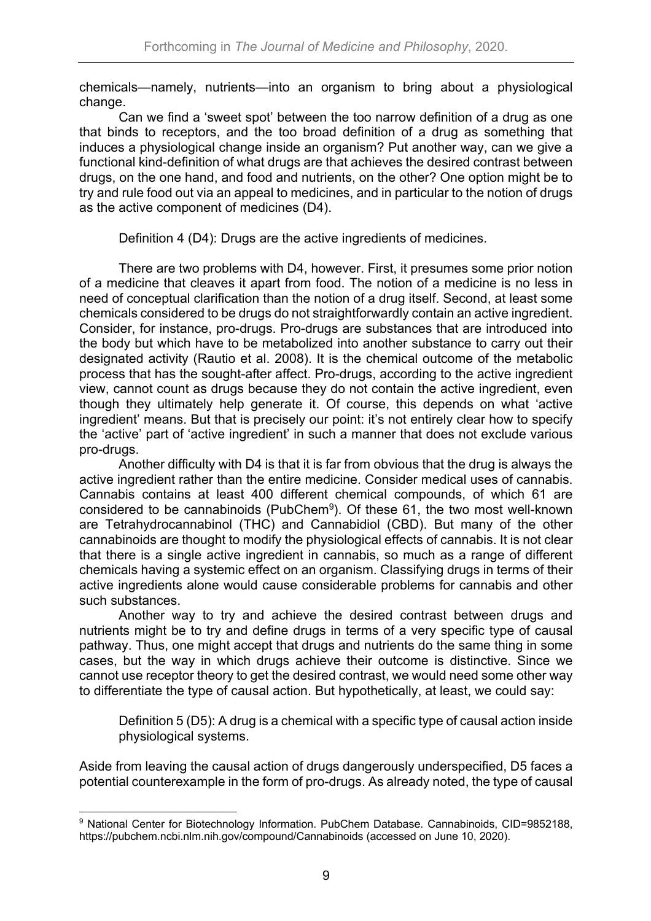chemicals—namely, nutrients—into an organism to bring about a physiological change.

Can we find a 'sweet spot' between the too narrow definition of a drug as one that binds to receptors, and the too broad definition of a drug as something that induces a physiological change inside an organism? Put another way, can we give a functional kind-definition of what drugs are that achieves the desired contrast between drugs, on the one hand, and food and nutrients, on the other? One option might be to try and rule food out via an appeal to medicines, and in particular to the notion of drugs as the active component of medicines (D4).

Definition 4 (D4): Drugs are the active ingredients of medicines.

There are two problems with D4, however. First, it presumes some prior notion of a medicine that cleaves it apart from food. The notion of a medicine is no less in need of conceptual clarification than the notion of a drug itself. Second, at least some chemicals considered to be drugs do not straightforwardly contain an active ingredient. Consider, for instance, pro-drugs. Pro-drugs are substances that are introduced into the body but which have to be metabolized into another substance to carry out their designated activity (Rautio et al. 2008). It is the chemical outcome of the metabolic process that has the sought-after affect. Pro-drugs, according to the active ingredient view, cannot count as drugs because they do not contain the active ingredient, even though they ultimately help generate it. Of course, this depends on what 'active ingredient' means. But that is precisely our point: it's not entirely clear how to specify the 'active' part of 'active ingredient' in such a manner that does not exclude various pro-drugs.

Another difficulty with D4 is that it is far from obvious that the drug is always the active ingredient rather than the entire medicine. Consider medical uses of cannabis. Cannabis contains at least 400 different chemical compounds, of which 61 are considered to be cannabinoids (PubChem<sup>9</sup>). Of these 61, the two most well-known are Tetrahydrocannabinol (THC) and Cannabidiol (CBD). But many of the other cannabinoids are thought to modify the physiological effects of cannabis. It is not clear that there is a single active ingredient in cannabis, so much as a range of different chemicals having a systemic effect on an organism. Classifying drugs in terms of their active ingredients alone would cause considerable problems for cannabis and other such substances.

Another way to try and achieve the desired contrast between drugs and nutrients might be to try and define drugs in terms of a very specific type of causal pathway. Thus, one might accept that drugs and nutrients do the same thing in some cases, but the way in which drugs achieve their outcome is distinctive. Since we cannot use receptor theory to get the desired contrast, we would need some other way to differentiate the type of causal action. But hypothetically, at least, we could say:

Definition 5 (D5): A drug is a chemical with a specific type of causal action inside physiological systems.

Aside from leaving the causal action of drugs dangerously underspecified, D5 faces a potential counterexample in the form of pro-drugs. As already noted, the type of causal

<sup>9</sup> National Center for Biotechnology Information. PubChem Database. Cannabinoids, CID=9852188, https://pubchem.ncbi.nlm.nih.gov/compound/Cannabinoids (accessed on June 10, 2020).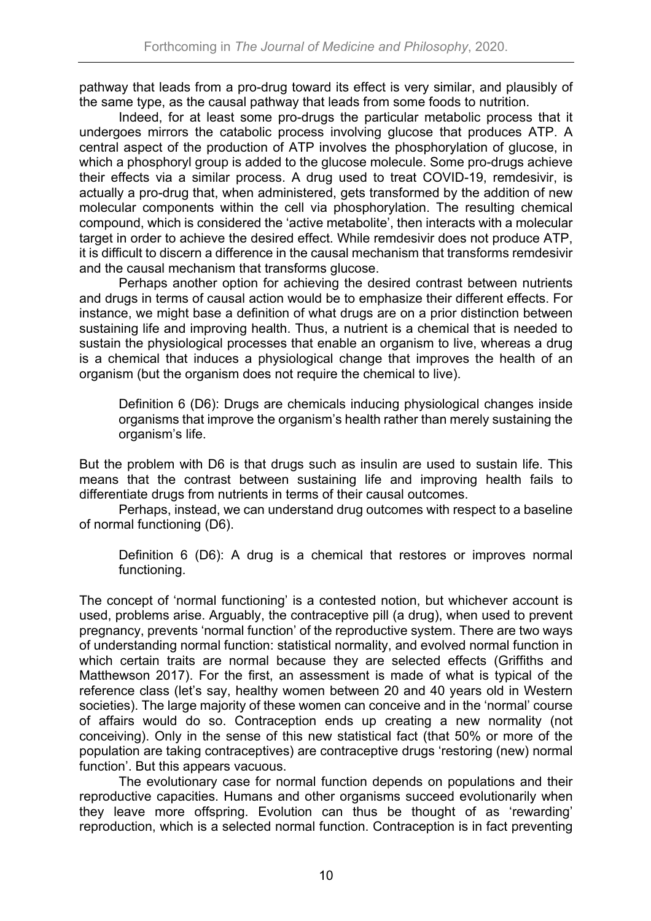pathway that leads from a pro-drug toward its effect is very similar, and plausibly of the same type, as the causal pathway that leads from some foods to nutrition.

Indeed, for at least some pro-drugs the particular metabolic process that it undergoes mirrors the catabolic process involving glucose that produces ATP. A central aspect of the production of ATP involves the phosphorylation of glucose, in which a phosphoryl group is added to the glucose molecule. Some pro-drugs achieve their effects via a similar process. A drug used to treat COVID-19, remdesivir, is actually a pro-drug that, when administered, gets transformed by the addition of new molecular components within the cell via phosphorylation. The resulting chemical compound, which is considered the 'active metabolite', then interacts with a molecular target in order to achieve the desired effect. While remdesivir does not produce ATP, it is difficult to discern a difference in the causal mechanism that transforms remdesivir and the causal mechanism that transforms glucose.

Perhaps another option for achieving the desired contrast between nutrients and drugs in terms of causal action would be to emphasize their different effects. For instance, we might base a definition of what drugs are on a prior distinction between sustaining life and improving health. Thus, a nutrient is a chemical that is needed to sustain the physiological processes that enable an organism to live, whereas a drug is a chemical that induces a physiological change that improves the health of an organism (but the organism does not require the chemical to live).

Definition 6 (D6): Drugs are chemicals inducing physiological changes inside organisms that improve the organism's health rather than merely sustaining the organism's life.

But the problem with D6 is that drugs such as insulin are used to sustain life. This means that the contrast between sustaining life and improving health fails to differentiate drugs from nutrients in terms of their causal outcomes.

Perhaps, instead, we can understand drug outcomes with respect to a baseline of normal functioning (D6).

Definition 6 (D6): A drug is a chemical that restores or improves normal functioning.

The concept of 'normal functioning' is a contested notion, but whichever account is used, problems arise. Arguably, the contraceptive pill (a drug), when used to prevent pregnancy, prevents 'normal function' of the reproductive system. There are two ways of understanding normal function: statistical normality, and evolved normal function in which certain traits are normal because they are selected effects (Griffiths and Matthewson 2017). For the first, an assessment is made of what is typical of the reference class (let's say, healthy women between 20 and 40 years old in Western societies). The large majority of these women can conceive and in the 'normal' course of affairs would do so. Contraception ends up creating a new normality (not conceiving). Only in the sense of this new statistical fact (that 50% or more of the population are taking contraceptives) are contraceptive drugs 'restoring (new) normal function'. But this appears vacuous.

The evolutionary case for normal function depends on populations and their reproductive capacities. Humans and other organisms succeed evolutionarily when they leave more offspring. Evolution can thus be thought of as 'rewarding' reproduction, which is a selected normal function. Contraception is in fact preventing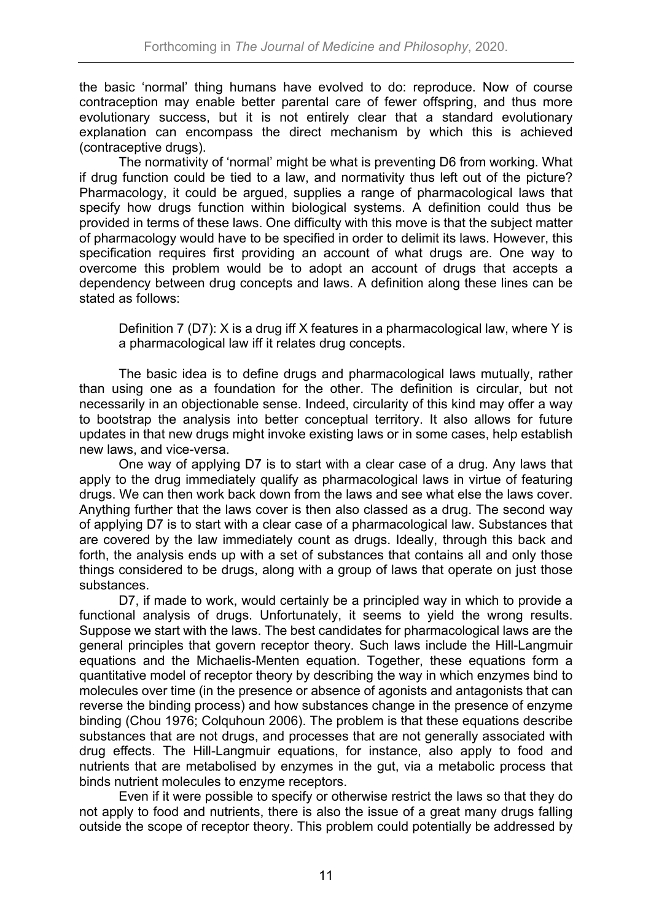the basic 'normal' thing humans have evolved to do: reproduce. Now of course contraception may enable better parental care of fewer offspring, and thus more evolutionary success, but it is not entirely clear that a standard evolutionary explanation can encompass the direct mechanism by which this is achieved (contraceptive drugs).

The normativity of 'normal' might be what is preventing D6 from working. What if drug function could be tied to a law, and normativity thus left out of the picture? Pharmacology, it could be argued, supplies a range of pharmacological laws that specify how drugs function within biological systems. A definition could thus be provided in terms of these laws. One difficulty with this move is that the subject matter of pharmacology would have to be specified in order to delimit its laws. However, this specification requires first providing an account of what drugs are. One way to overcome this problem would be to adopt an account of drugs that accepts a dependency between drug concepts and laws. A definition along these lines can be stated as follows:

Definition 7 (D7): X is a drug iff X features in a pharmacological law, where Y is a pharmacological law iff it relates drug concepts.

The basic idea is to define drugs and pharmacological laws mutually, rather than using one as a foundation for the other. The definition is circular, but not necessarily in an objectionable sense. Indeed, circularity of this kind may offer a way to bootstrap the analysis into better conceptual territory. It also allows for future updates in that new drugs might invoke existing laws or in some cases, help establish new laws, and vice-versa.

One way of applying D7 is to start with a clear case of a drug. Any laws that apply to the drug immediately qualify as pharmacological laws in virtue of featuring drugs. We can then work back down from the laws and see what else the laws cover. Anything further that the laws cover is then also classed as a drug. The second way of applying D7 is to start with a clear case of a pharmacological law. Substances that are covered by the law immediately count as drugs. Ideally, through this back and forth, the analysis ends up with a set of substances that contains all and only those things considered to be drugs, along with a group of laws that operate on just those substances.

D7, if made to work, would certainly be a principled way in which to provide a functional analysis of drugs. Unfortunately, it seems to yield the wrong results. Suppose we start with the laws. The best candidates for pharmacological laws are the general principles that govern receptor theory. Such laws include the Hill-Langmuir equations and the Michaelis-Menten equation. Together, these equations form a quantitative model of receptor theory by describing the way in which enzymes bind to molecules over time (in the presence or absence of agonists and antagonists that can reverse the binding process) and how substances change in the presence of enzyme binding (Chou 1976; Colquhoun 2006). The problem is that these equations describe substances that are not drugs, and processes that are not generally associated with drug effects. The Hill-Langmuir equations, for instance, also apply to food and nutrients that are metabolised by enzymes in the gut, via a metabolic process that binds nutrient molecules to enzyme receptors.

Even if it were possible to specify or otherwise restrict the laws so that they do not apply to food and nutrients, there is also the issue of a great many drugs falling outside the scope of receptor theory. This problem could potentially be addressed by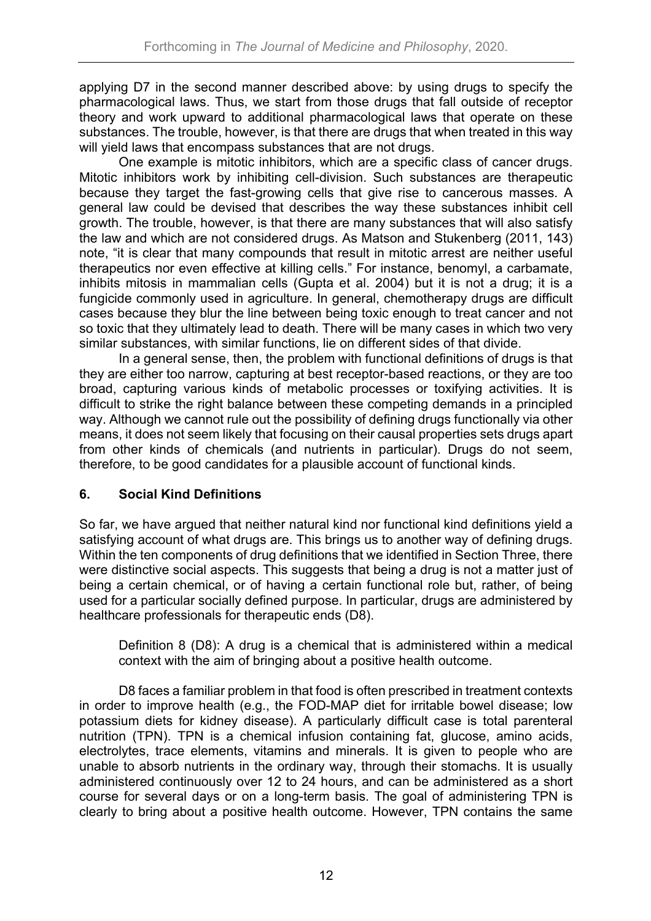applying D7 in the second manner described above: by using drugs to specify the pharmacological laws. Thus, we start from those drugs that fall outside of receptor theory and work upward to additional pharmacological laws that operate on these substances. The trouble, however, is that there are drugs that when treated in this way will yield laws that encompass substances that are not drugs.

One example is mitotic inhibitors, which are a specific class of cancer drugs. Mitotic inhibitors work by inhibiting cell-division. Such substances are therapeutic because they target the fast-growing cells that give rise to cancerous masses. A general law could be devised that describes the way these substances inhibit cell growth. The trouble, however, is that there are many substances that will also satisfy the law and which are not considered drugs. As Matson and Stukenberg (2011, 143) note, "it is clear that many compounds that result in mitotic arrest are neither useful therapeutics nor even effective at killing cells." For instance, benomyl, a carbamate, inhibits mitosis in mammalian cells (Gupta et al. 2004) but it is not a drug; it is a fungicide commonly used in agriculture. In general, chemotherapy drugs are difficult cases because they blur the line between being toxic enough to treat cancer and not so toxic that they ultimately lead to death. There will be many cases in which two very similar substances, with similar functions, lie on different sides of that divide.

In a general sense, then, the problem with functional definitions of drugs is that they are either too narrow, capturing at best receptor-based reactions, or they are too broad, capturing various kinds of metabolic processes or toxifying activities. It is difficult to strike the right balance between these competing demands in a principled way. Although we cannot rule out the possibility of defining drugs functionally via other means, it does not seem likely that focusing on their causal properties sets drugs apart from other kinds of chemicals (and nutrients in particular). Drugs do not seem, therefore, to be good candidates for a plausible account of functional kinds.

### **6. Social Kind Definitions**

So far, we have argued that neither natural kind nor functional kind definitions yield a satisfying account of what drugs are. This brings us to another way of defining drugs. Within the ten components of drug definitions that we identified in Section Three, there were distinctive social aspects. This suggests that being a drug is not a matter just of being a certain chemical, or of having a certain functional role but, rather, of being used for a particular socially defined purpose. In particular, drugs are administered by healthcare professionals for therapeutic ends (D8).

Definition 8 (D8): A drug is a chemical that is administered within a medical context with the aim of bringing about a positive health outcome.

D8 faces a familiar problem in that food is often prescribed in treatment contexts in order to improve health (e.g., the FOD-MAP diet for irritable bowel disease; low potassium diets for kidney disease). A particularly difficult case is total parenteral nutrition (TPN). TPN is a chemical infusion containing fat, glucose, amino acids, electrolytes, trace elements, vitamins and minerals. It is given to people who are unable to absorb nutrients in the ordinary way, through their stomachs. It is usually administered continuously over 12 to 24 hours, and can be administered as a short course for several days or on a long-term basis. The goal of administering TPN is clearly to bring about a positive health outcome. However, TPN contains the same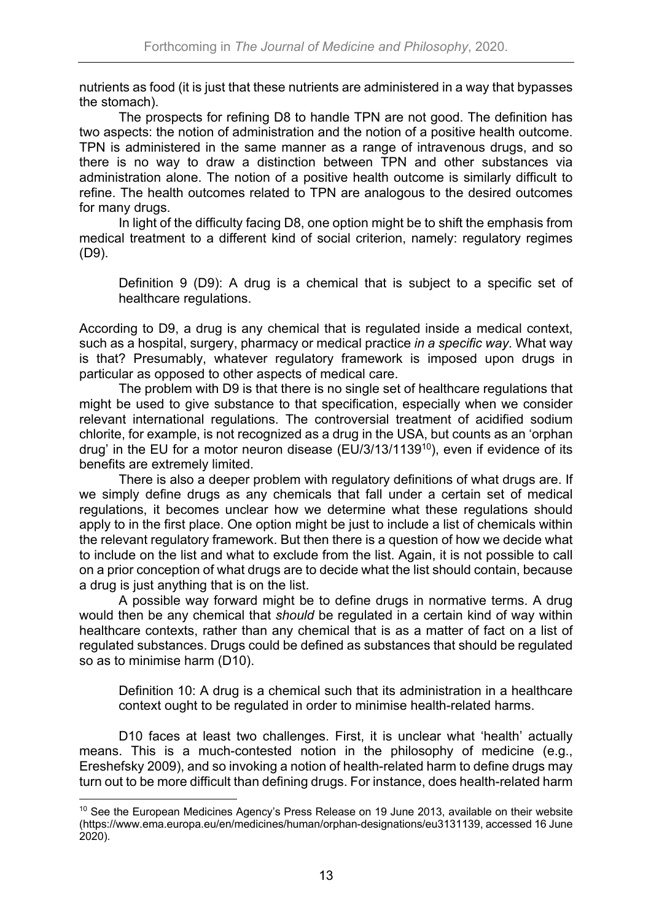nutrients as food (it is just that these nutrients are administered in a way that bypasses the stomach).

The prospects for refining D8 to handle TPN are not good. The definition has two aspects: the notion of administration and the notion of a positive health outcome. TPN is administered in the same manner as a range of intravenous drugs, and so there is no way to draw a distinction between TPN and other substances via administration alone. The notion of a positive health outcome is similarly difficult to refine. The health outcomes related to TPN are analogous to the desired outcomes for many drugs.

In light of the difficulty facing D8, one option might be to shift the emphasis from medical treatment to a different kind of social criterion, namely: regulatory regimes (D9).

Definition 9 (D9): A drug is a chemical that is subject to a specific set of healthcare regulations.

According to D9, a drug is any chemical that is regulated inside a medical context, such as a hospital, surgery, pharmacy or medical practice *in a specific way*. What way is that? Presumably, whatever regulatory framework is imposed upon drugs in particular as opposed to other aspects of medical care.

The problem with D9 is that there is no single set of healthcare regulations that might be used to give substance to that specification, especially when we consider relevant international regulations. The controversial treatment of acidified sodium chlorite, for example, is not recognized as a drug in the USA, but counts as an 'orphan drug' in the EU for a motor neuron disease (EU/3/13/1139<sup>10</sup>), even if evidence of its benefits are extremely limited.

There is also a deeper problem with regulatory definitions of what drugs are. If we simply define drugs as any chemicals that fall under a certain set of medical regulations, it becomes unclear how we determine what these regulations should apply to in the first place. One option might be just to include a list of chemicals within the relevant regulatory framework. But then there is a question of how we decide what to include on the list and what to exclude from the list. Again, it is not possible to call on a prior conception of what drugs are to decide what the list should contain, because a drug is just anything that is on the list.

A possible way forward might be to define drugs in normative terms. A drug would then be any chemical that *should* be regulated in a certain kind of way within healthcare contexts, rather than any chemical that is as a matter of fact on a list of regulated substances. Drugs could be defined as substances that should be regulated so as to minimise harm (D10).

Definition 10: A drug is a chemical such that its administration in a healthcare context ought to be regulated in order to minimise health-related harms.

D10 faces at least two challenges. First, it is unclear what 'health' actually means. This is a much-contested notion in the philosophy of medicine (e.g., Ereshefsky 2009), and so invoking a notion of health-related harm to define drugs may turn out to be more difficult than defining drugs. For instance, does health-related harm

<sup>&</sup>lt;sup>10</sup> See the European Medicines Agency's Press Release on 19 June 2013, available on their website (https://www.ema.europa.eu/en/medicines/human/orphan-designations/eu3131139, accessed 16 June 2020).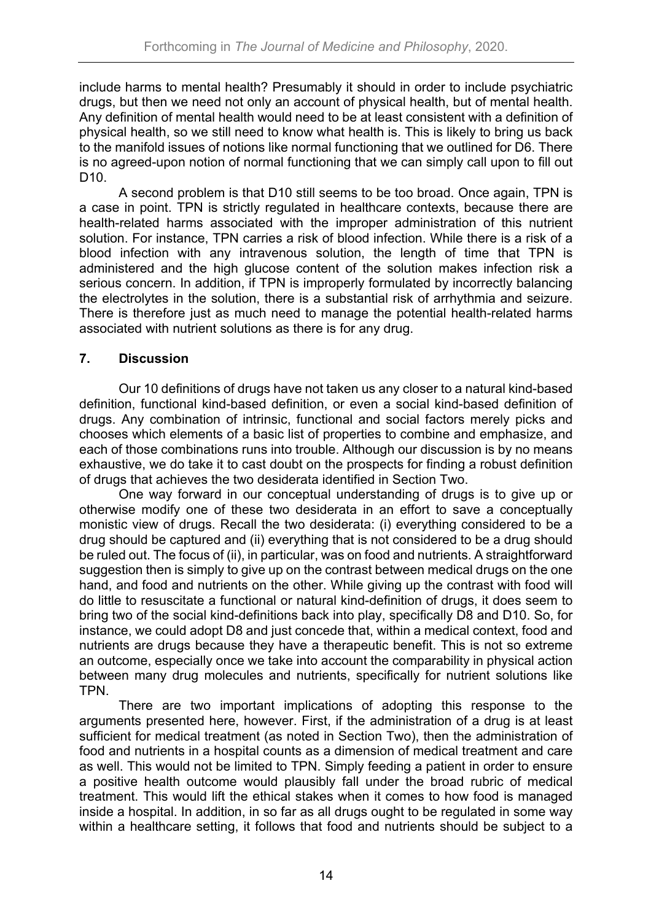include harms to mental health? Presumably it should in order to include psychiatric drugs, but then we need not only an account of physical health, but of mental health. Any definition of mental health would need to be at least consistent with a definition of physical health, so we still need to know what health is. This is likely to bring us back to the manifold issues of notions like normal functioning that we outlined for D6. There is no agreed-upon notion of normal functioning that we can simply call upon to fill out D10.

A second problem is that D10 still seems to be too broad. Once again, TPN is a case in point. TPN is strictly regulated in healthcare contexts, because there are health-related harms associated with the improper administration of this nutrient solution. For instance, TPN carries a risk of blood infection. While there is a risk of a blood infection with any intravenous solution, the length of time that TPN is administered and the high glucose content of the solution makes infection risk a serious concern. In addition, if TPN is improperly formulated by incorrectly balancing the electrolytes in the solution, there is a substantial risk of arrhythmia and seizure. There is therefore just as much need to manage the potential health-related harms associated with nutrient solutions as there is for any drug.

### **7. Discussion**

Our 10 definitions of drugs have not taken us any closer to a natural kind-based definition, functional kind-based definition, or even a social kind-based definition of drugs. Any combination of intrinsic, functional and social factors merely picks and chooses which elements of a basic list of properties to combine and emphasize, and each of those combinations runs into trouble. Although our discussion is by no means exhaustive, we do take it to cast doubt on the prospects for finding a robust definition of drugs that achieves the two desiderata identified in Section Two.

One way forward in our conceptual understanding of drugs is to give up or otherwise modify one of these two desiderata in an effort to save a conceptually monistic view of drugs. Recall the two desiderata: (i) everything considered to be a drug should be captured and (ii) everything that is not considered to be a drug should be ruled out. The focus of (ii), in particular, was on food and nutrients. A straightforward suggestion then is simply to give up on the contrast between medical drugs on the one hand, and food and nutrients on the other. While giving up the contrast with food will do little to resuscitate a functional or natural kind-definition of drugs, it does seem to bring two of the social kind-definitions back into play, specifically D8 and D10. So, for instance, we could adopt D8 and just concede that, within a medical context, food and nutrients are drugs because they have a therapeutic benefit. This is not so extreme an outcome, especially once we take into account the comparability in physical action between many drug molecules and nutrients, specifically for nutrient solutions like TPN.

There are two important implications of adopting this response to the arguments presented here, however. First, if the administration of a drug is at least sufficient for medical treatment (as noted in Section Two), then the administration of food and nutrients in a hospital counts as a dimension of medical treatment and care as well. This would not be limited to TPN. Simply feeding a patient in order to ensure a positive health outcome would plausibly fall under the broad rubric of medical treatment. This would lift the ethical stakes when it comes to how food is managed inside a hospital. In addition, in so far as all drugs ought to be regulated in some way within a healthcare setting, it follows that food and nutrients should be subject to a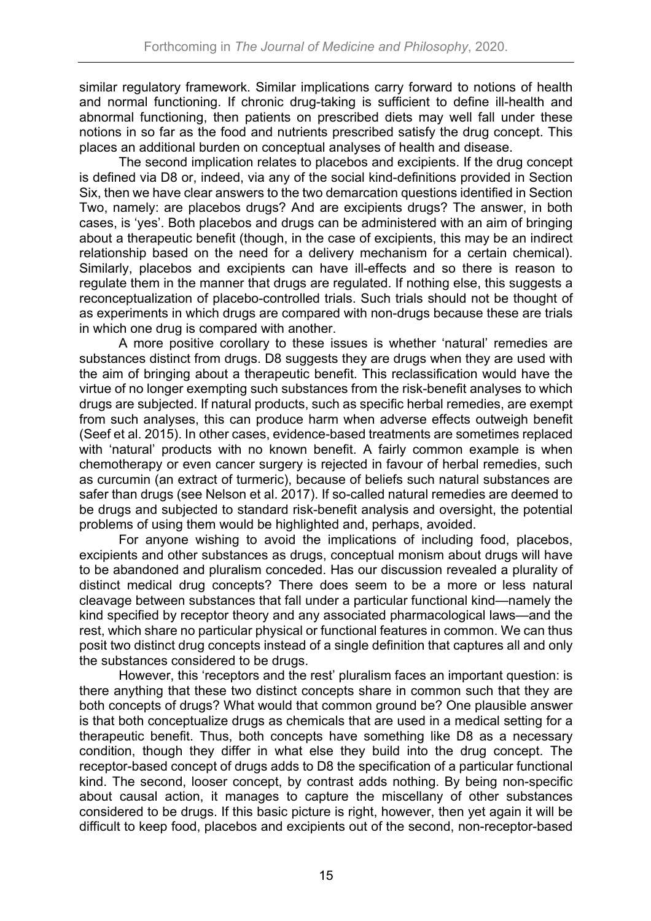similar regulatory framework. Similar implications carry forward to notions of health and normal functioning. If chronic drug-taking is sufficient to define ill-health and abnormal functioning, then patients on prescribed diets may well fall under these notions in so far as the food and nutrients prescribed satisfy the drug concept. This places an additional burden on conceptual analyses of health and disease.

The second implication relates to placebos and excipients. If the drug concept is defined via D8 or, indeed, via any of the social kind-definitions provided in Section Six, then we have clear answers to the two demarcation questions identified in Section Two, namely: are placebos drugs? And are excipients drugs? The answer, in both cases, is 'yes'. Both placebos and drugs can be administered with an aim of bringing about a therapeutic benefit (though, in the case of excipients, this may be an indirect relationship based on the need for a delivery mechanism for a certain chemical). Similarly, placebos and excipients can have ill-effects and so there is reason to regulate them in the manner that drugs are regulated. If nothing else, this suggests a reconceptualization of placebo-controlled trials. Such trials should not be thought of as experiments in which drugs are compared with non-drugs because these are trials in which one drug is compared with another.

A more positive corollary to these issues is whether 'natural' remedies are substances distinct from drugs. D8 suggests they are drugs when they are used with the aim of bringing about a therapeutic benefit. This reclassification would have the virtue of no longer exempting such substances from the risk-benefit analyses to which drugs are subjected. If natural products, such as specific herbal remedies, are exempt from such analyses, this can produce harm when adverse effects outweigh benefit (Seef et al. 2015). In other cases, evidence-based treatments are sometimes replaced with 'natural' products with no known benefit. A fairly common example is when chemotherapy or even cancer surgery is rejected in favour of herbal remedies, such as curcumin (an extract of turmeric), because of beliefs such natural substances are safer than drugs (see Nelson et al. 2017). If so-called natural remedies are deemed to be drugs and subjected to standard risk-benefit analysis and oversight, the potential problems of using them would be highlighted and, perhaps, avoided.

For anyone wishing to avoid the implications of including food, placebos, excipients and other substances as drugs, conceptual monism about drugs will have to be abandoned and pluralism conceded. Has our discussion revealed a plurality of distinct medical drug concepts? There does seem to be a more or less natural cleavage between substances that fall under a particular functional kind—namely the kind specified by receptor theory and any associated pharmacological laws—and the rest, which share no particular physical or functional features in common. We can thus posit two distinct drug concepts instead of a single definition that captures all and only the substances considered to be drugs.

However, this 'receptors and the rest' pluralism faces an important question: is there anything that these two distinct concepts share in common such that they are both concepts of drugs? What would that common ground be? One plausible answer is that both conceptualize drugs as chemicals that are used in a medical setting for a therapeutic benefit. Thus, both concepts have something like D8 as a necessary condition, though they differ in what else they build into the drug concept. The receptor-based concept of drugs adds to D8 the specification of a particular functional kind. The second, looser concept, by contrast adds nothing. By being non-specific about causal action, it manages to capture the miscellany of other substances considered to be drugs. If this basic picture is right, however, then yet again it will be difficult to keep food, placebos and excipients out of the second, non-receptor-based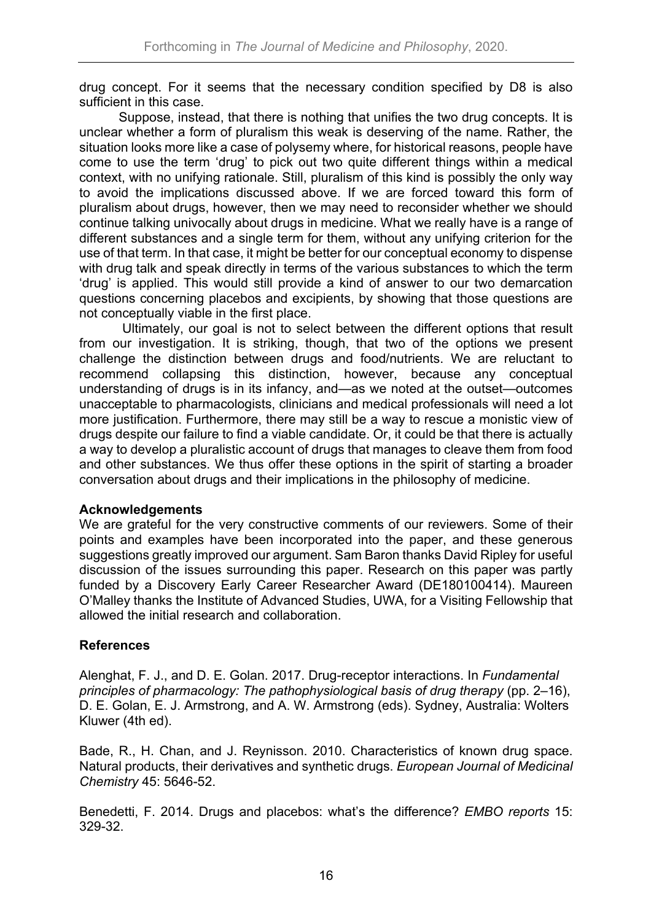drug concept. For it seems that the necessary condition specified by D8 is also sufficient in this case.

Suppose, instead, that there is nothing that unifies the two drug concepts. It is unclear whether a form of pluralism this weak is deserving of the name. Rather, the situation looks more like a case of polysemy where, for historical reasons, people have come to use the term 'drug' to pick out two quite different things within a medical context, with no unifying rationale. Still, pluralism of this kind is possibly the only way to avoid the implications discussed above. If we are forced toward this form of pluralism about drugs, however, then we may need to reconsider whether we should continue talking univocally about drugs in medicine. What we really have is a range of different substances and a single term for them, without any unifying criterion for the use of that term. In that case, it might be better for our conceptual economy to dispense with drug talk and speak directly in terms of the various substances to which the term 'drug' is applied. This would still provide a kind of answer to our two demarcation questions concerning placebos and excipients, by showing that those questions are not conceptually viable in the first place.

Ultimately, our goal is not to select between the different options that result from our investigation. It is striking, though, that two of the options we present challenge the distinction between drugs and food/nutrients. We are reluctant to recommend collapsing this distinction, however, because any conceptual understanding of drugs is in its infancy, and—as we noted at the outset—outcomes unacceptable to pharmacologists, clinicians and medical professionals will need a lot more justification. Furthermore, there may still be a way to rescue a monistic view of drugs despite our failure to find a viable candidate. Or, it could be that there is actually a way to develop a pluralistic account of drugs that manages to cleave them from food and other substances. We thus offer these options in the spirit of starting a broader conversation about drugs and their implications in the philosophy of medicine.

### **Acknowledgements**

We are grateful for the very constructive comments of our reviewers. Some of their points and examples have been incorporated into the paper, and these generous suggestions greatly improved our argument. Sam Baron thanks David Ripley for useful discussion of the issues surrounding this paper. Research on this paper was partly funded by a Discovery Early Career Researcher Award (DE180100414). Maureen O'Malley thanks the Institute of Advanced Studies, UWA, for a Visiting Fellowship that allowed the initial research and collaboration.

## **References**

Alenghat, F. J., and D. E. Golan. 2017. Drug-receptor interactions. In *Fundamental principles of pharmacology: The pathophysiological basis of drug therapy* (pp. 2–16), D. E. Golan, E. J. Armstrong, and A. W. Armstrong (eds). Sydney, Australia: Wolters Kluwer (4th ed).

Bade, R., H. Chan, and J. Reynisson. 2010. Characteristics of known drug space. Natural products, their derivatives and synthetic drugs. *European Journal of Medicinal Chemistry* 45: 5646-52.

Benedetti, F. 2014. Drugs and placebos: what's the difference? *EMBO reports* 15: 329-32.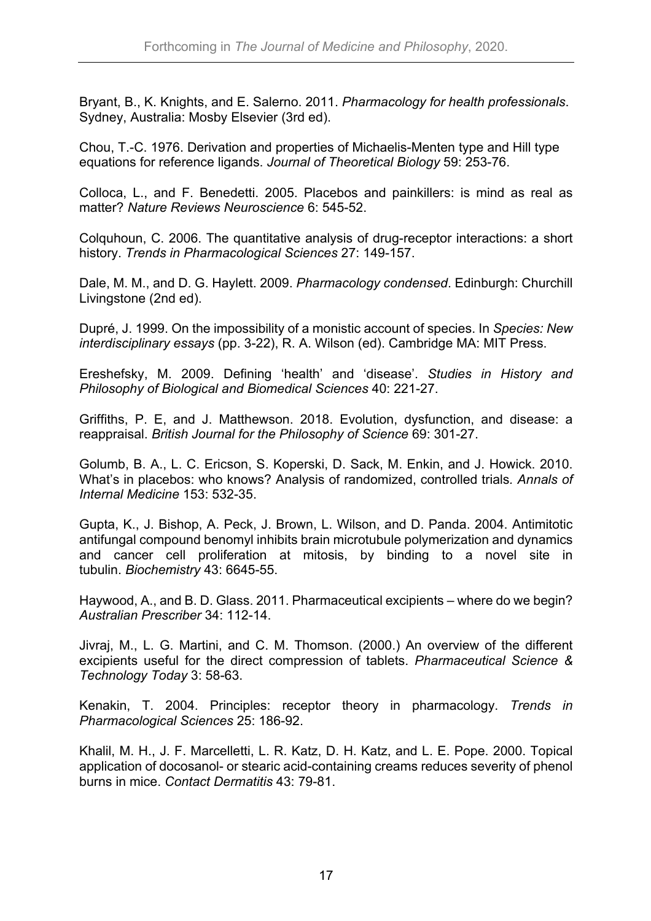Bryant, B., K. Knights, and E. Salerno. 2011. *Pharmacology for health professionals*. Sydney, Australia: Mosby Elsevier (3rd ed).

Chou, T.-C. 1976. Derivation and properties of Michaelis-Menten type and Hill type equations for reference ligands. *Journal of Theoretical Biology* 59: 253-76.

Colloca, L., and F. Benedetti. 2005. Placebos and painkillers: is mind as real as matter? *Nature Reviews Neuroscience* 6: 545-52.

Colquhoun, C. 2006. The quantitative analysis of drug-receptor interactions: a short history. *Trends in Pharmacological Sciences* 27: 149-157.

Dale, M. M., and D. G. Haylett. 2009. *Pharmacology condensed*. Edinburgh: Churchill Livingstone (2nd ed).

Dupré, J. 1999. On the impossibility of a monistic account of species. In *Species: New interdisciplinary essays* (pp. 3-22), R. A. Wilson (ed). Cambridge MA: MIT Press.

Ereshefsky, M. 2009. Defining 'health' and 'disease'. *Studies in History and Philosophy of Biological and Biomedical Sciences* 40: 221-27.

Griffiths, P. E, and J. Matthewson. 2018. Evolution, dysfunction, and disease: a reappraisal. *British Journal for the Philosophy of Science* 69: 301-27.

Golumb, B. A., L. C. Ericson, S. Koperski, D. Sack, M. Enkin, and J. Howick. 2010. What's in placebos: who knows? Analysis of randomized, controlled trials*. Annals of Internal Medicine* 153: 532-35.

Gupta, K., J. Bishop, A. Peck, J. Brown, L. Wilson, and D. Panda. 2004. Antimitotic antifungal compound benomyl inhibits brain microtubule polymerization and dynamics and cancer cell proliferation at mitosis, by binding to a novel site in tubulin. *Biochemistry* 43: 6645-55.

Haywood, A., and B. D. Glass. 2011. Pharmaceutical excipients – where do we begin? *Australian Prescriber* 34: 112-14.

Jivraj, M., L. G. Martini, and C. M. Thomson. (2000.) An overview of the different excipients useful for the direct compression of tablets. *Pharmaceutical Science & Technology Today* 3: 58-63.

Kenakin, T. 2004. Principles: receptor theory in pharmacology. *Trends in Pharmacological Sciences* 25: 186-92.

Khalil, M. H., J. F. Marcelletti, L. R. Katz, D. H. Katz, and L. E. Pope. 2000. Topical application of docosanol- or stearic acid-containing creams reduces severity of phenol burns in mice. *Contact Dermatitis* 43: 79-81.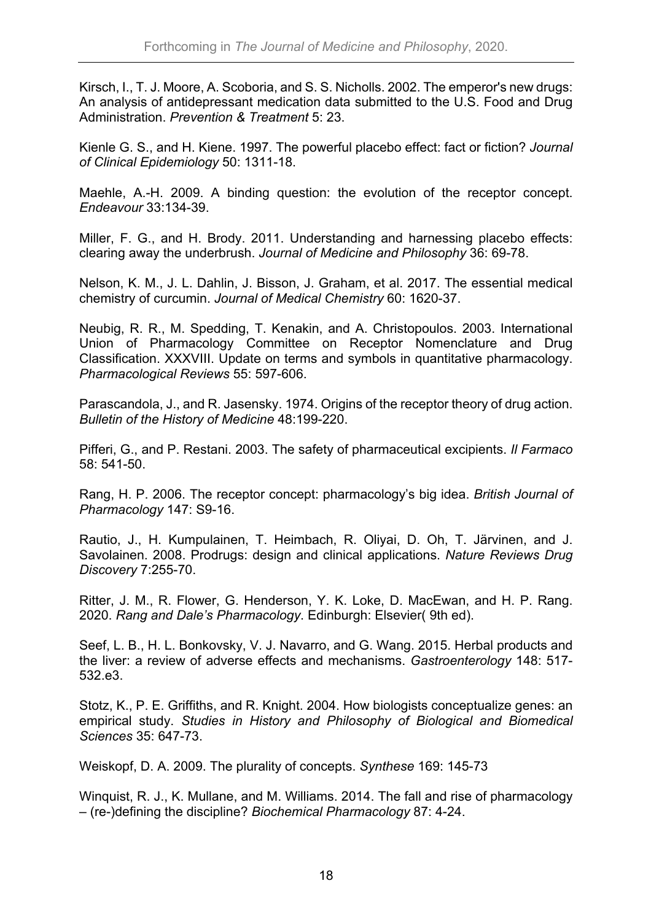Kirsch, I., T. J. Moore, A. Scoboria, and S. S. Nicholls. 2002. The emperor's new drugs: An analysis of antidepressant medication data submitted to the U.S. Food and Drug Administration. *Prevention & Treatment* 5: 23.

Kienle G. S., and H. Kiene. 1997. The powerful placebo effect: fact or fiction? *Journal of Clinical Epidemiology* 50: 1311-18.

Maehle, A.-H. 2009. A binding question: the evolution of the receptor concept. *Endeavour* 33:134-39.

Miller, F. G., and H. Brody. 2011. Understanding and harnessing placebo effects: clearing away the underbrush. *Journal of Medicine and Philosophy* 36: 69-78.

Nelson, K. M., J. L. Dahlin, J. Bisson, J. Graham, et al. 2017. The essential medical chemistry of curcumin. *Journal of Medical Chemistry* 60: 1620-37.

Neubig, R. R., M. Spedding, T. Kenakin, and A. Christopoulos. 2003. International Union of Pharmacology Committee on Receptor Nomenclature and Drug Classification. XXXVIII. Update on terms and symbols in quantitative pharmacology. *Pharmacological Reviews* 55: 597-606.

Parascandola, J., and R. Jasensky. 1974. Origins of the receptor theory of drug action. *Bulletin of the History of Medicine* 48:199-220.

Pifferi, G., and P. Restani. 2003. The safety of pharmaceutical excipients. *Il Farmaco* 58: 541-50.

Rang, H. P. 2006. The receptor concept: pharmacology's big idea. *British Journal of Pharmacology* 147: S9-16.

Rautio, J., H. Kumpulainen, T. Heimbach, R. Oliyai, D. Oh, T. Järvinen, and J. Savolainen. 2008. Prodrugs: design and clinical applications. *Nature Reviews Drug Discovery* 7:255-70.

Ritter, J. M., R. Flower, G. Henderson, Y. K. Loke, D. MacEwan, and H. P. Rang. 2020. *Rang and Dale's Pharmacology*. Edinburgh: Elsevier( 9th ed).

Seef, L. B., H. L. Bonkovsky, V. J. Navarro, and G. Wang. 2015. Herbal products and the liver: a review of adverse effects and mechanisms. *Gastroenterology* 148: 517- 532.e3.

Stotz, K., P. E. Griffiths, and R. Knight. 2004. How biologists conceptualize genes: an empirical study. *Studies in History and Philosophy of Biological and Biomedical Sciences* 35: 647-73.

Weiskopf, D. A. 2009. The plurality of concepts. *Synthese* 169: 145-73

Winquist, R. J., K. Mullane, and M. Williams. 2014. The fall and rise of pharmacology – (re-)defining the discipline? *Biochemical Pharmacology* 87: 4-24.